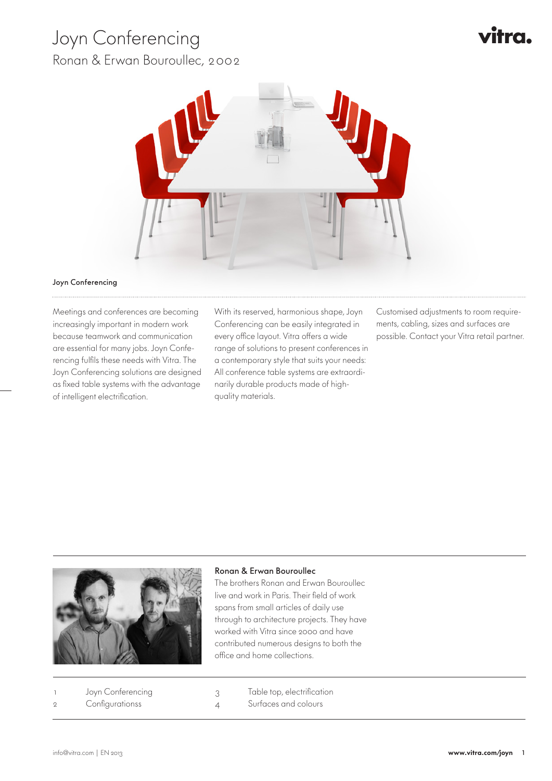# Joyn Conferencing

Ronan & Erwan Bouroullec, 2002





#### Joyn Conferencing

Meetings and conferences are becoming increasingly important in modern work because teamwork and communication are essential for many jobs. Joyn Conferencing fulfils these needs with Vitra. The Joyn Conferencing solutions are designed as fixed table systems with the advantage of intelligent electrification.

With its reserved, harmonious shape, Joyn Conferencing can be easily integrated in every office layout. Vitra offers a wide range of solutions to present conferences in a contemporary style that suits your needs: All conference table systems are extraordinarily durable products made of highquality materials.

Customised adjustments to room requirements, cabling, sizes and surfaces are possible. Contact your Vitra retail partner.



### Ronan & Erwan Bouroullec

The brothers Ronan and Erwan Bouroullec live and work in Paris. Their field of work spans from small articles of daily use through to architecture projects. They have worked with Vitra since 2000 and have contributed numerous designs to both the office and home collections.

Joyn Conferencing 2 Configurationss

3 Table top, electrification 4 Surfaces and colours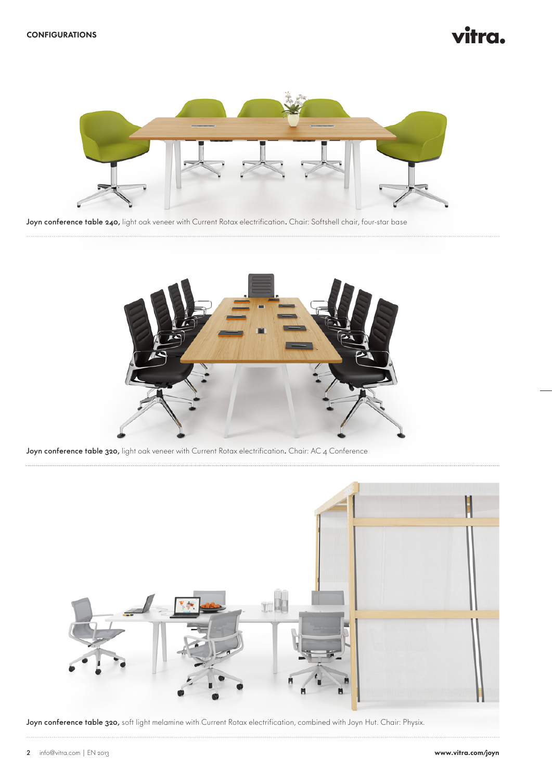# itra.



Joyn conference table 240, light oak veneer with Current Rotax electrification. Chair: Softshell chair, four-star base



Joyn conference table 320, light oak veneer with Current Rotax electrification. Chair: AC 4 Conference



Joyn conference table 320, soft light melamine with Current Rotax electrification, combined with Joyn Hut. Chair: Physix.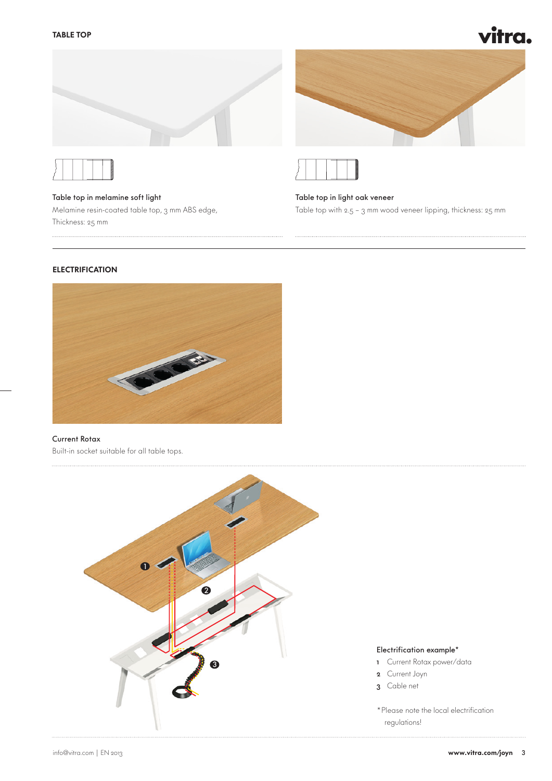







Table top in melamine soft light Melamine resin-coated table top, 3 mm ABS edge, Thickness: 25 mm

Table top in light oak veneer Table top with 2.5 – 3 mm wood veneer lipping, thickness: 25 mm

## **ELECTRIFICATION**



#### Current Rotax

Built-in socket suitable for all table tops.



#### Electrification example\*

- 1 Current Rotax power/data
- 2 Current Joyn
- 3 Cable net
- \*Please note the local electrification regulations!